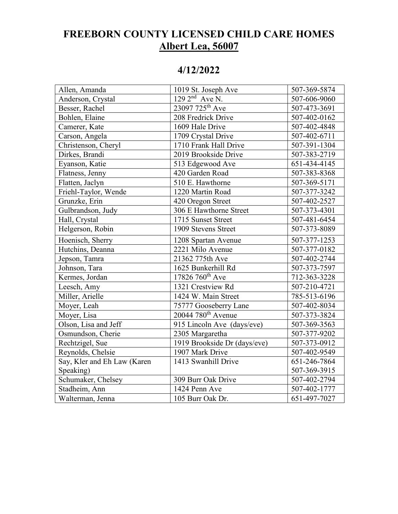## **FREEBORN COUNTY LICENSED CHILD CARE HOMES Albert Lea, 56007**

## **4/12/2022**

| Allen, Amanda               | 1019 St. Joseph Ave            | 507-369-5874 |
|-----------------------------|--------------------------------|--------------|
| Anderson, Crystal           | $1292^{\text{nd}}$ Ave N.      | 507-606-9060 |
| Besser, Rachel              | 23097 725 <sup>th</sup> Ave    | 507-473-3691 |
| Bohlen, Elaine              | 208 Fredrick Drive             | 507-402-0162 |
| Camerer, Kate               | 1609 Hale Drive                | 507-402-4848 |
| Carson, Angela              | 1709 Crystal Drive             | 507-402-6711 |
| Christenson, Cheryl         | 1710 Frank Hall Drive          | 507-391-1304 |
| Dirkes, Brandi              | 2019 Brookside Drive           | 507-383-2719 |
| Eyanson, Katie              | 513 Edgewood Ave               | 651-434-4145 |
| Flatness, Jenny             | 420 Garden Road                | 507-383-8368 |
| Flatten, Jaclyn             | 510 E. Hawthorne               | 507-369-5171 |
| Friehl-Taylor, Wende        | 1220 Martin Road               | 507-377-3242 |
| Grunzke, Erin               | 420 Oregon Street              | 507-402-2527 |
| Gulbrandson, Judy           | 306 E Hawthorne Street         | 507-373-4301 |
| Hall, Crystal               | 1715 Sunset Street             | 507-481-6454 |
| Helgerson, Robin            | 1909 Stevens Street            | 507-373-8089 |
| Hoenisch, Sherry            | 1208 Spartan Avenue            | 507-377-1253 |
| Hutchins, Deanna            | 2221 Milo Avenue               | 507-377-0182 |
| Jepson, Tamra               | 21362 775th Ave                | 507-402-2744 |
| Johnson, Tara               | 1625 Bunkerhill Rd             | 507-373-7597 |
| Kermes, Jordan              | 17826 760 <sup>th</sup> Ave    | 712-363-3228 |
| Leesch, Amy                 | 1321 Crestview Rd              | 507-210-4721 |
| Miller, Arielle             | 1424 W. Main Street            | 785-513-6196 |
| Moyer, Leah                 | 75777 Gooseberry Lane          | 507-402-8034 |
| Moyer, Lisa                 | 20044 780 <sup>th</sup> Avenue | 507-373-3824 |
| Olson, Lisa and Jeff        | 915 Lincoln Ave (days/eve)     | 507-369-3563 |
| Osmundson, Cherie           | 2305 Margaretha                | 507-377-9202 |
| Rechtzigel, Sue             | 1919 Brookside Dr (days/eve)   | 507-373-0912 |
| Reynolds, Chelsie           | 1907 Mark Drive                | 507-402-9549 |
| Say, Kler and Eh Law (Karen | 1413 Swanhill Drive            | 651-246-7864 |
| Speaking)                   |                                | 507-369-3915 |
| Schumaker, Chelsey          | 309 Burr Oak Drive             | 507-402-2794 |
| Stadheim, Ann               | 1424 Penn Ave                  | 507-402-1777 |
| Walterman, Jenna            | 105 Burr Oak Dr.               | 651-497-7027 |